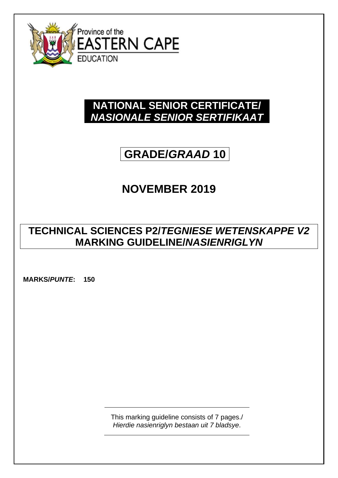

# **NATIONAL SENIOR CERTIFICATE/** *NASIONALE SENIOR SERTIFIKAAT*

# **GRADE/***GRAAD* **10**

# **NOVEMBER 2019**

# **TECHNICAL SCIENCES P2/***TEGNIESE WETENSKAPPE V2* **MARKING GUIDELINE/***NASIENRIGLYN*

**MARKS/***PUNTE***: 150**

This marking guideline consists of 7 pages./ *Hierdie nasienriglyn bestaan uit 7 bladsye*.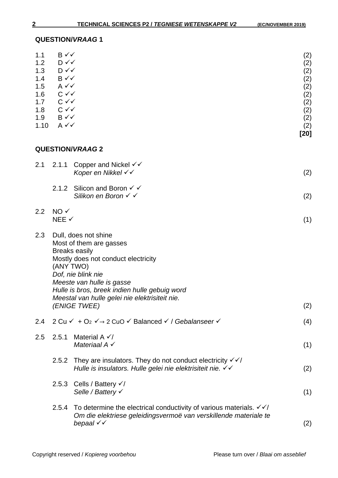|                | [20]                                                                                                      |
|----------------|-----------------------------------------------------------------------------------------------------------|
| $A \vee C$     | (2)                                                                                                       |
|                | (2)                                                                                                       |
|                | (2)                                                                                                       |
|                | (2)                                                                                                       |
|                | (2)                                                                                                       |
|                | (2)                                                                                                       |
|                | (2)                                                                                                       |
|                | (2)                                                                                                       |
| $D \checkmark$ | (2)                                                                                                       |
| $B \vee \vee$  | (2)                                                                                                       |
|                | $D \checkmark$<br>$B \vee \vee$<br>$A \vee C$<br>$C \vee C$<br>$C \vee C$<br>$C \vee C$<br>$B \checkmark$ |

# **QUESTION/***VRAAG* **2**

| 2.1 | 2.1.1                                                                                                                                                                                                                                                                                             | Copper and Nickel $\checkmark\checkmark$<br>Koper en Nikkel √√                                                                                                   | (2) |
|-----|---------------------------------------------------------------------------------------------------------------------------------------------------------------------------------------------------------------------------------------------------------------------------------------------------|------------------------------------------------------------------------------------------------------------------------------------------------------------------|-----|
|     |                                                                                                                                                                                                                                                                                                   | 2.1.2 Silicon and Boron $\checkmark$ $\checkmark$<br>Silikon en Boron √ √                                                                                        | (2) |
| 2.2 | $NO \checkmark$<br>NEE √                                                                                                                                                                                                                                                                          |                                                                                                                                                                  | (1) |
| 2.3 | Dull, does not shine<br>Most of them are gasses<br><b>Breaks easily</b><br>Mostly does not conduct electricity<br>(ANY TWO)<br>Dof, nie blink nie<br>Meeste van hulle is gasse<br>Hulle is bros, breek indien hulle gebuig word<br>Meestal van hulle gelei nie elektrisiteit nie.<br>(ENIGE TWEE) |                                                                                                                                                                  | (2) |
| 2.4 |                                                                                                                                                                                                                                                                                                   | 2 Cu $\checkmark$ + O <sub>2</sub> $\checkmark$ $\rightarrow$ 2 CuO $\checkmark$ Balanced $\checkmark$ / Gebalanseer $\checkmark$                                | (4) |
| 2.5 | 2.5.1                                                                                                                                                                                                                                                                                             | Material A $\checkmark$<br>Materiaal $A \checkmark$                                                                                                              | (1) |
|     | 2.5.2                                                                                                                                                                                                                                                                                             | They are insulators. They do not conduct electricity $\checkmark$<br>Hulle is insulators. Hulle gelei nie elektrisiteit nie. √√                                  | (2) |
|     |                                                                                                                                                                                                                                                                                                   | 2.5.3 Cells / Battery √/<br>Selle / Battery √                                                                                                                    | (1) |
|     | 2.5.4                                                                                                                                                                                                                                                                                             | To determine the electrical conductivity of various materials. $\sqrt{\sqrt{}}$<br>Om die elektriese geleidingsvermoë van verskillende materiale te<br>bepaal √√ | (2) |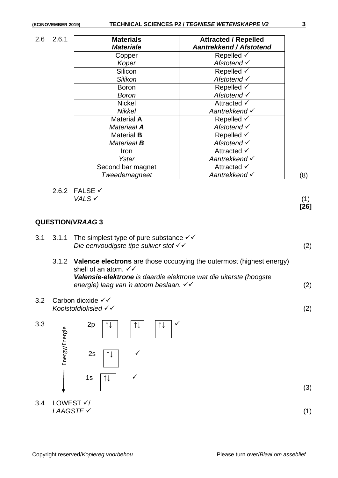2.6 2.6.1 **Materials**

| <b>Materials</b>   | <b>Attracted / Repelled</b>    |  |
|--------------------|--------------------------------|--|
| <b>Materiale</b>   | <b>Aantrekkend / Afstotend</b> |  |
| Copper             | Repelled √                     |  |
| Koper              | Afstotend √                    |  |
| Silicon            | Repelled $\checkmark$          |  |
| Silikon            | Afstotend √                    |  |
| Boron              | Repelled $\checkmark$          |  |
| Boron              | Afstotend √                    |  |
| <b>Nickel</b>      | Attracted $\checkmark$         |  |
| <b>Nikkel</b>      | Aantrekkend √                  |  |
| <b>Material A</b>  | Repelled √                     |  |
| Materiaal <b>A</b> | Afstotend $\checkmark$         |  |
| <b>Material B</b>  | Repelled $\checkmark$          |  |
| Materiaal <b>B</b> | Afstotend √                    |  |
| Iron               | Attracted $\checkmark$         |  |
| Yster              | Aantrekkend √                  |  |
| Second bar magnet  | Attracted $\checkmark$         |  |
| Tweedemagneet      | Aantrekkend √                  |  |

2.6.2 FALSE  $\checkmark$ <br>VALS  $\checkmark$  $VALS \checkmark$  (1)

### **QUESTION/***VRAAG* **3**

|  |  | 3.1 3.1.1 The simplest type of pure substance $\checkmark\checkmark$ |     |
|--|--|----------------------------------------------------------------------|-----|
|  |  | Die eenvoudigste tipe suiwer stof $\checkmark$                       | (2) |

- 3.1.2 **Valence electrons** are those occupying the outermost (highest energy) shell of an atom.  $\checkmark\checkmark$ *Valensie-elektrone is daardie elektrone wat die uiterste (hoogste energie) laag van 'n atoom beslaan.* (2)
- 3.2 Carbon dioxide *Koolstofdioksied* (2)



**[26]**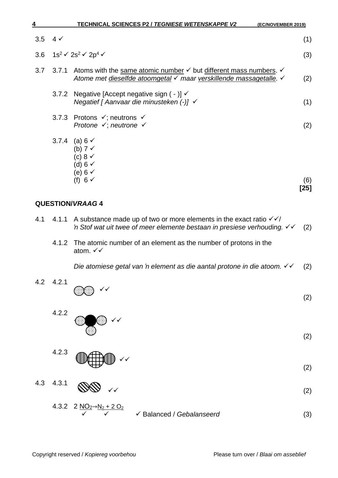| 4   |             | <b>TECHNICAL SCIENCES P2 / TEGNIESE WETENSKAPPE V2</b><br>(EC/NOVEMBER 2019)                                                                                        |      |
|-----|-------------|---------------------------------------------------------------------------------------------------------------------------------------------------------------------|------|
| 3.5 | $4\sqrt{ }$ |                                                                                                                                                                     | (1)  |
|     |             | 3.6 $1s^2 \checkmark 2s^2 \checkmark 2p^4 \checkmark$                                                                                                               | (3)  |
| 3.7 |             | 3.7.1 Atoms with the same atomic number $\checkmark$ but different mass numbers. $\checkmark$<br>Atome met dieselfde atoomgetal √ maar verskillende massagetalle. V | (2)  |
|     |             | 3.7.2 Negative [Accept negative sign $(-)$ ] $\checkmark$<br>Negatief [ Aanvaar die minusteken $(-)$ ] $\checkmark$                                                 | (1)  |
|     |             | 3.7.3 Protons $\checkmark$ ; neutrons $\checkmark$<br>Protone $\checkmark$ ; neutrone $\checkmark$                                                                  | (2)  |
|     | 3.7.4       | (a) 6 $\checkmark$<br>(b) $7 \checkmark$<br>(c) 8 $\checkmark$<br>(d) $6 \checkmark$<br>(e) 6 $\checkmark$<br>(f) 6 √                                               | (6)  |
|     |             |                                                                                                                                                                     | 「つに1 |

- 4.1 4.1.1 A substance made up of two or more elements in the exact ratio  $\sqrt{\sqrt{}}$ *'n* Stof wat uit twee of meer elemente bestaan in presiese verhouding.  $\checkmark$  (2)
	- 4.1.2 The atomic number of an element as the number of protons in the atom.  $\checkmark\checkmark$

*Die atomiese getal van 'n element as die aantal protone in die atoom.*  (2)



4.2.3 **WILL HUILD VV** 

- 4.3 4.3.1  $\mathbf{U} \mathbf{U}$  (2)
	- $4.3.2$  2 Balanced / *Gebalanseerd* (3)

**[25]**

(2)

(2)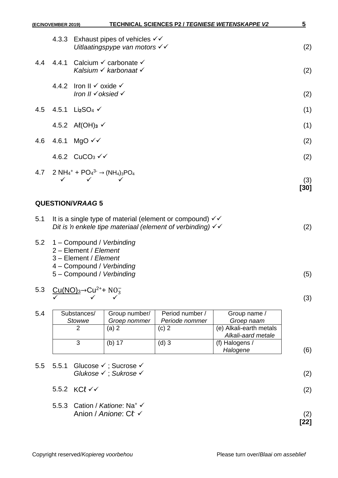| (EC/NOVEMBER 2019) | <b>TECHNICAL SCIENCES P2 / TEGNIESE WETENSKAPPE V2</b>                                                                           | 5   |
|--------------------|----------------------------------------------------------------------------------------------------------------------------------|-----|
| 4.3.3              | Exhaust pipes of vehicles $\checkmark\checkmark$<br>Uitlaatingspype van motors √√                                                | (2) |
|                    | 4.4 4.4.1 Calcium $\checkmark$ carbonate $\checkmark$<br>Kalsium $\checkmark$ karbonaat $\checkmark$                             | (2) |
|                    | 4.4.2 Iron II $\checkmark$ oxide $\checkmark$<br>Iron II √ oksied √                                                              | (2) |
|                    | 4.5 4.5.1 $Li_2SO_4$ $\checkmark$                                                                                                | (1) |
|                    | 4.5.2 $Al(OH)_{3}$ $\checkmark$                                                                                                  | (1) |
|                    | 4.6 4.6.1 MgO $\checkmark$                                                                                                       | (2) |
|                    | 4.6.2 CuCO <sub>3</sub> $\checkmark\checkmark$                                                                                   | (2) |
|                    | 4.7 2 NH <sub>4</sub> <sup>+</sup> + PO <sub>4</sub> <sup>3-</sup> $\rightarrow$ (NH <sub>4</sub> ) <sub>3</sub> PO <sub>4</sub> | (3) |

| 5.1 It is a single type of material (element or compound) $\checkmark$ |     |
|------------------------------------------------------------------------|-----|
| Dit is 'n enkele tipe materiaal (element of verbinding) $\checkmark$   | (2) |

- 5.2 1 Compound / *Verbinding*
	- 2 Element / *Element*
	- 3 Element / *Element*
	- 4 Compound / *Verbinding*
	- 5 Compound / *Verbinding* (5)
- 5.3  $Cu(NO)<sub>3</sub>→Cu<sup>2+</sup>+ NO<sub>3</sub>$  $\checkmark$   $\checkmark$  (3)

| 5.4 | Substances/ | Group number/ | Period number / | Group name /            |
|-----|-------------|---------------|-----------------|-------------------------|
|     | Stowwe      | Groep nommer  | Periode nommer  | Groep naam              |
|     |             | (a) 2         | (c) 2           | (e) Alkali-earth metals |
|     |             |               |                 | Alkali-aard metale      |
|     |             | (b) 17        | $(d)$ 3         | (f) Halogens /          |
|     |             |               |                 | Halogene                |

|  | 5.5 5.5.1 Glucose $\checkmark$ ; Sucrose $\checkmark$<br>Glukose √ ; Sukrose √          | (2)         |
|--|-----------------------------------------------------------------------------------------|-------------|
|  | 5.5.2 KCl $\checkmark$                                                                  | (2)         |
|  | 5.5.3 Cation / Katione: Na <sup>+</sup> $\checkmark$<br>Anion / Anione: $Cf \checkmark$ | (2)<br>[22] |

**[30]**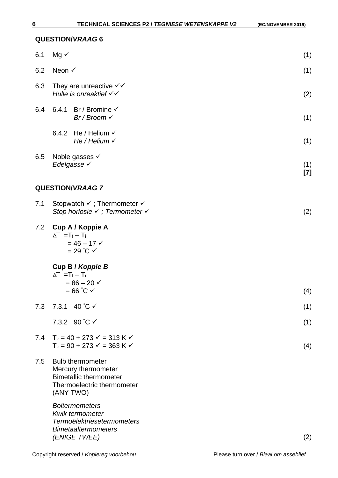| 6.1 | $Mg \checkmark$                                                                                                            | (1)          |
|-----|----------------------------------------------------------------------------------------------------------------------------|--------------|
| 6.2 | Neon √                                                                                                                     | (1)          |
| 6.3 | They are unreactive $\checkmark\checkmark$<br>Hulle is onreaktief √√                                                       | (2)          |
| 6.4 | Br / Bromine $\checkmark$<br>6.4.1<br>Br / Broom $\checkmark$                                                              | (1)          |
|     | He / Helium $\checkmark$<br>6.4.2<br>He / Helium $\checkmark$                                                              | (1)          |
| 6.5 | Noble gasses $\checkmark$<br>Edelgasse √                                                                                   | (1)<br>$[7]$ |
|     | <b>QUESTION/VRAAG 7</b>                                                                                                    |              |
| 7.1 | Stopwatch $\checkmark$ ; Thermometer $\checkmark$<br>Stop horlosie √ ; Termometer √                                        | (2)          |
| 7.2 | Cup A / Koppie A<br>$\Delta T = T_f - T_i$<br>$= 46 - 17$ $\checkmark$<br>$= 29 °C$ $\checkmark$                           |              |
|     | Cup B / Koppie B                                                                                                           |              |
|     | $\Delta T = T_f - T_i$<br>$= 86 - 20 \checkmark$<br>$= 66^{\circ}$ C $\checkmark$                                          | (4)          |
| 7.3 | 7.3.1 40 °C $\checkmark$                                                                                                   | (1)          |
|     | 7.3.2 90 °C √                                                                                                              | (1)          |
| 7.4 | $T_k = 40 + 273 \checkmark = 313 \checkmark \checkmark$<br>$T_k = 90 + 273 \checkmark = 363 \checkmark \checkmark$         | (4)          |
| 7.5 | <b>Bulb thermometer</b><br>Mercury thermometer<br><b>Bimetallic thermometer</b><br>Thermoelectric thermometer<br>(ANY TWO) |              |
|     | <b>Boltermometers</b><br><b>Kwik termometer</b><br><b>Termoëlektriesetermometers</b><br><b>Bimetaaltermometers</b>         |              |

*(ENIGE TWEE)* (2)